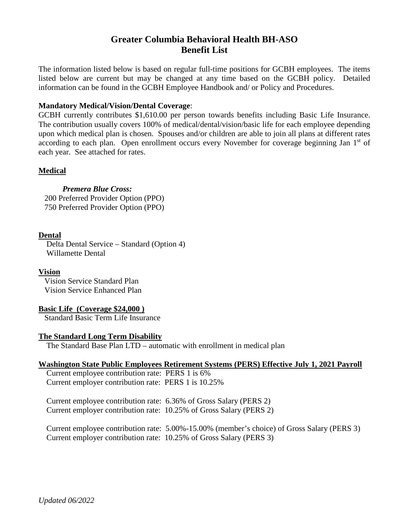# **Greater Columbia Behavioral Health BH-ASO Benefit List**

The information listed below is based on regular full-time positions for GCBH employees. The items listed below are current but may be changed at any time based on the GCBH policy. Detailed information can be found in the GCBH Employee Handbook and/ or Policy and Procedures.

## **Mandatory Medical/Vision/Dental Coverage**:

GCBH currently contributes \$1,610.00 per person towards benefits including Basic Life Insurance. The contribution usually covers 100% of medical/dental/vision/basic life for each employee depending upon which medical plan is chosen. Spouses and/or children are able to join all plans at different rates according to each plan. Open enrollment occurs every November for coverage beginning Jan 1<sup>st</sup> of each year. See attached for rates.

# **Medical**

*Premera Blue Cross:*  200 Preferred Provider Option (PPO) 750 Preferred Provider Option (PPO)

#### **Dental**

 Delta Dental Service – Standard (Option 4) Willamette Dental

**Vision** Vision Service Standard Plan Vision Service Enhanced Plan

#### **Basic Life (Coverage \$24,000 )**

Standard Basic Term Life Insurance

#### **The Standard Long Term Disability**

The Standard Base Plan LTD – automatic with enrollment in medical plan

#### **Washington State Public Employees Retirement Systems (PERS) Effective July 1, 2021 Payroll**

 Current employee contribution rate: PERS 1 is 6% Current employer contribution rate: PERS 1 is 10.25%

 Current employee contribution rate: 6.36% of Gross Salary (PERS 2) Current employer contribution rate: 10.25% of Gross Salary (PERS 2)

 Current employee contribution rate: 5.00%-15.00% (member's choice) of Gross Salary (PERS 3) Current employer contribution rate: 10.25% of Gross Salary (PERS 3)